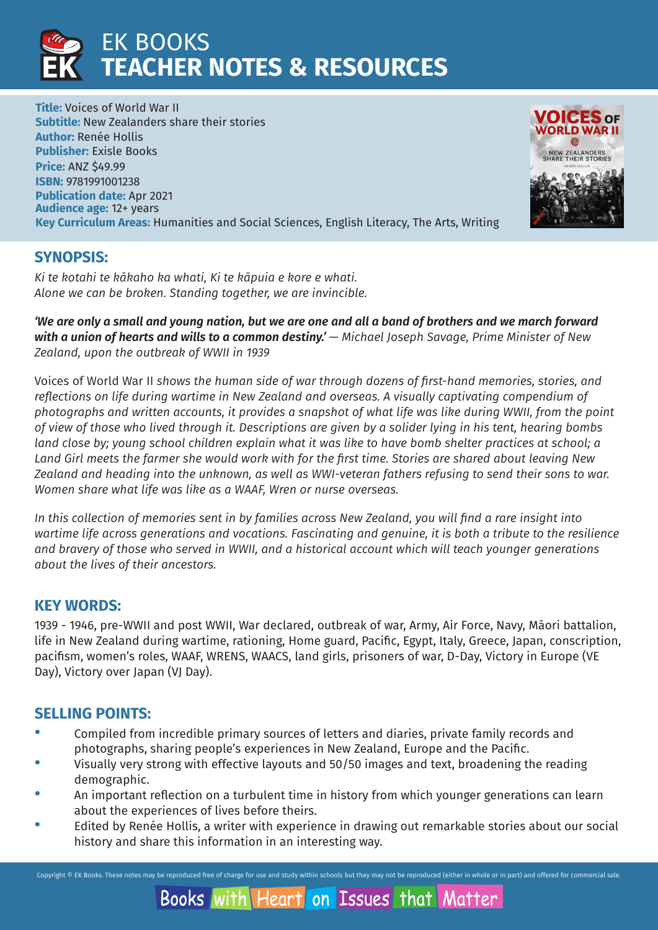

**Title:** Voices of World War II **Subtitle:** New Zealanders share their stories **Author:** Renée Hollis **Publisher:** Exisle Books **Price:** ANZ \$49.99 **ISBN:** 9781991001238 **Publication date:** Apr 2021 **Audience age:** 12+ years **Key Curriculum Areas:** Humanities and Social Sciences, English Literacy, The Arts, Writing



## **SYNOPSIS:**

*Ki te kotahi te kākaho ka whati, Ki te kāpuia e kore e whati. Alone we can be broken. Standing together, we are invincible.*

*'We are only a small and young nation, but we are one and all a band of brothers and we march forward*  **with a union of hearts and wills to a common destiny.'** — Michael Joseph Savage, Prime Minister of New *Zealand, upon the outbreak of WWII in 1939*

Voices of World War II *shows the human side of war through dozens of first-hand memories, stories, and reflections on life during wartime in New Zealand and overseas. A visually captivating compendium of photographs and written accounts, it provides a snapshot of what life was like during WWII, from the point of view of those who lived through it. Descriptions are given by a solider lying in his tent, hearing bombs land close by; young school children explain what it was like to have bomb shelter practices at school; a Land Girl meets the farmer she would work with for the first time. Stories are shared about leaving New Zealand and heading into the unknown, as well as WWI-veteran fathers refusing to send their sons to war. Women share what life was like as a WAAF, Wren or nurse overseas.*

*In this collection of memories sent in by families across New Zealand, you will find a rare insight into wartime life across generations and vocations. Fascinating and genuine, it is both a tribute to the resilience and bravery of those who served in WWII, and a historical account which will teach younger generations about the lives of their ancestors.* 

## **KEY WORDS:**

1939 - 1946, pre-WWII and post WWII, War declared, outbreak of war, Army, Air Force, Navy, Māori battalion, life in New Zealand during wartime, rationing, Home guard, Pacific, Egypt, Italy, Greece, Japan, conscription, pacifism, women's roles, WAAF, WRENS, WAACS, land girls, prisoners of war, D-Day, Victory in Europe (VE Day), Victory over Japan (VJ Day).

## **SELLING POINTS:**

- · Compiled from incredible primary sources of letters and diaries, private family records and photographs, sharing people's experiences in New Zealand, Europe and the Pacific.
- Visually very strong with effective layouts and 50/50 images and text, broadening the reading demographic.
- · An important reflection on a turbulent time in history from which younger generations can learn about the experiences of lives before theirs.
- Edited by Renée Hollis, a writer with experience in drawing out remarkable stories about our social history and share this information in an interesting way.

Copyright © EK Books. These notes may be reproduced free of charge for use and study within schools but they may not be reproduced (either in whole or in part) and offered for commercial sale.

#### **Books with Heart** on Issues that Matter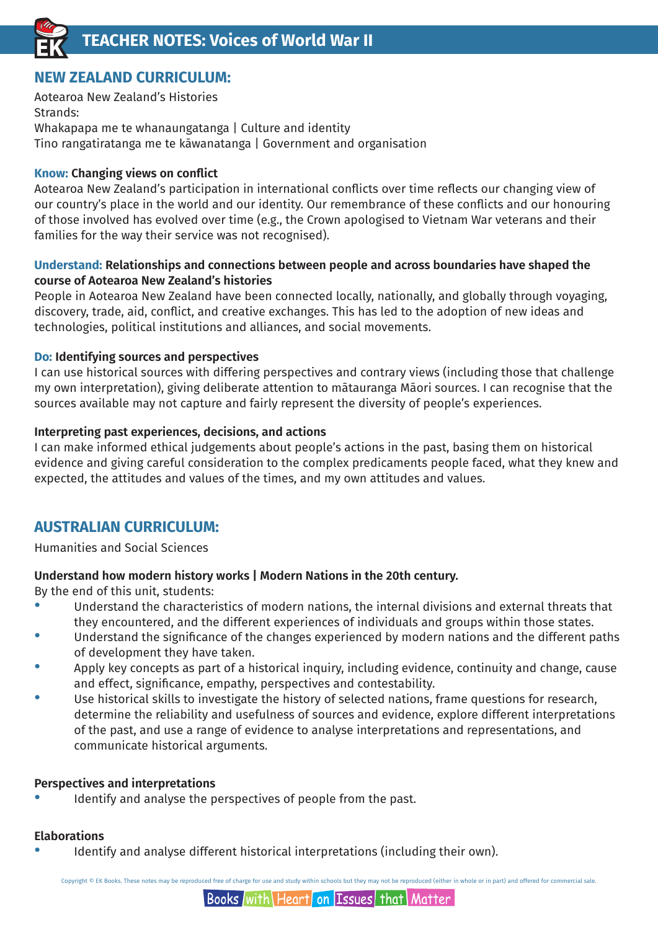

## **NEW ZEALAND CURRICULUM:**

Aotearoa New Zealand's Histories Strands: Whakapapa me te whanaungatanga | Culture and identity Tino rangatiratanga me te kāwanatanga | Government and organisation

#### **Know: Changing views on conflict**

Aotearoa New Zealand's participation in international conflicts over time reflects our changing view of our country's place in the world and our identity. Our remembrance of these conflicts and our honouring of those involved has evolved over time (e.g., the Crown apologised to Vietnam War veterans and their families for the way their service was not recognised).

#### **Understand: Relationships and connections between people and across boundaries have shaped the course of Aotearoa New Zealand's histories**

People in Aotearoa New Zealand have been connected locally, nationally, and globally through voyaging, discovery, trade, aid, conflict, and creative exchanges. This has led to the adoption of new ideas and technologies, political institutions and alliances, and social movements.

#### **Do: Identifying sources and perspectives**

I can use historical sources with differing perspectives and contrary views (including those that challenge my own interpretation), giving deliberate attention to mātauranga Māori sources. I can recognise that the sources available may not capture and fairly represent the diversity of people's experiences.

#### **Interpreting past experiences, decisions, and actions**

I can make informed ethical judgements about people's actions in the past, basing them on historical evidence and giving careful consideration to the complex predicaments people faced, what they knew and expected, the attitudes and values of the times, and my own attitudes and values.

## **AUSTRALIAN CURRICULUM:**

Humanities and Social Sciences

#### **Understand how modern history works | Modern Nations in the 20th century.**

By the end of this unit, students:

- Understand the characteristics of modern nations, the internal divisions and external threats that they encountered, and the different experiences of individuals and groups within those states.
- Understand the significance of the changes experienced by modern nations and the different paths of development they have taken.
- Apply key concepts as part of a historical inquiry, including evidence, continuity and change, cause and effect, significance, empathy, perspectives and contestability.
- Use historical skills to investigate the history of selected nations, frame questions for research, determine the reliability and usefulness of sources and evidence, explore different interpretations of the past, and use a range of evidence to analyse interpretations and representations, and communicate historical arguments.

#### **Perspectives and interpretations**

Identify and analyse the perspectives of people from the past.

#### **Elaborations**

Identify and analyse different historical interpretations (including their own).

Copyright © EK Books. These notes may be reproduced free of charge for use and study within schools but they may not be reproduced (either in whole or in part) and offered for commercial sale.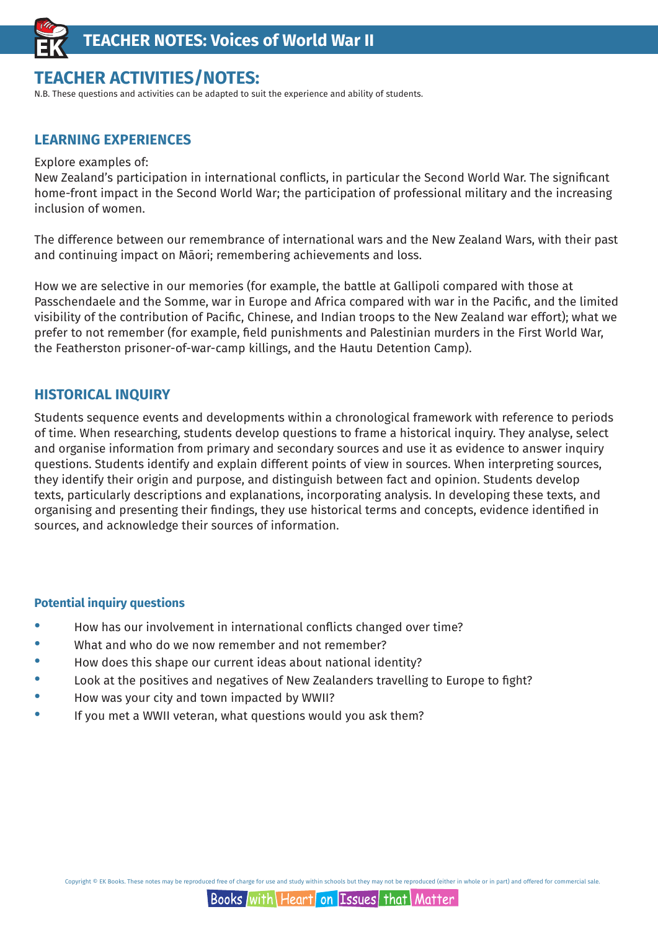

## **TEACHER ACTIVITIES/NOTES:**

N.B. These questions and activities can be adapted to suit the experience and ability of students.

### **LEARNING EXPERIENCES**

#### Explore examples of:

New Zealand's participation in international conflicts, in particular the Second World War. The significant home-front impact in the Second World War; the participation of professional military and the increasing inclusion of women.

The difference between our remembrance of international wars and the New Zealand Wars, with their past and continuing impact on Māori; remembering achievements and loss.

How we are selective in our memories (for example, the battle at Gallipoli compared with those at Passchendaele and the Somme, war in Europe and Africa compared with war in the Pacific, and the limited visibility of the contribution of Pacific, Chinese, and Indian troops to the New Zealand war effort); what we prefer to not remember (for example, field punishments and Palestinian murders in the First World War, the Featherston prisoner-of-war-camp killings, and the Hautu Detention Camp).

#### **HISTORICAL INQUIRY**

Students sequence events and developments within a chronological framework with reference to periods of time. When researching, students develop questions to frame a historical inquiry. They analyse, select and organise information from primary and secondary sources and use it as evidence to answer inquiry questions. Students identify and explain different points of view in sources. When interpreting sources, they identify their origin and purpose, and distinguish between fact and opinion. Students develop texts, particularly descriptions and explanations, incorporating analysis. In developing these texts, and organising and presenting their findings, they use historical terms and concepts, evidence identified in sources, and acknowledge their sources of information.

#### **Potential inquiry questions**

- · How has our involvement in international conflicts changed over time?
- · What and who do we now remember and not remember?
- How does this shape our current ideas about national identity?
- Look at the positives and negatives of New Zealanders travelling to Europe to fight?
- · How was your city and town impacted by WWII?
- If you met a WWII veteran, what questions would you ask them?

Copyright © FK Books. These notes may be reproduced free of charge for use and study within schools but they may not be reproduced (either in whole or in part) and offered for commercial sale.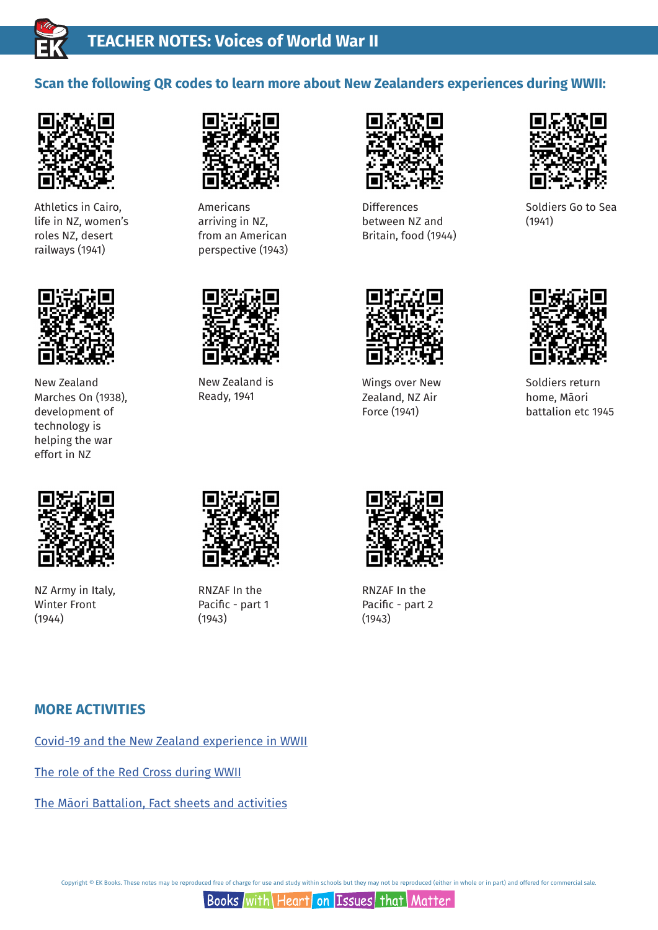

## **Scan the following QR codes to learn more about New Zealanders experiences during WWII:**



Athletics in Cairo, life in NZ, women's roles NZ, desert railways (1941)



New Zealand Marches On (1938), development of technology is helping the war effort in NZ



Americans arriving in NZ, from an American perspective (1943)



Differences between NZ and Britain, food (1944)



Soldiers Go to Sea (1941)



Wings over New Zealand, NZ Air Force (1941)



Soldiers return home, Māori battalion etc 1945



NZ Army in Italy, Winter Front (1944)



New Zealand is Ready, 1941

RNZAF In the Pacific - part 1 (1943)



RNZAF In the Pacific - part 2 (1943)

### **MORE ACTIVITIES**

Covid-19 and the New Zealand experience in WWII

The role of the Red Cross during WWII

The Māori Battalion, Fact sheets and activities